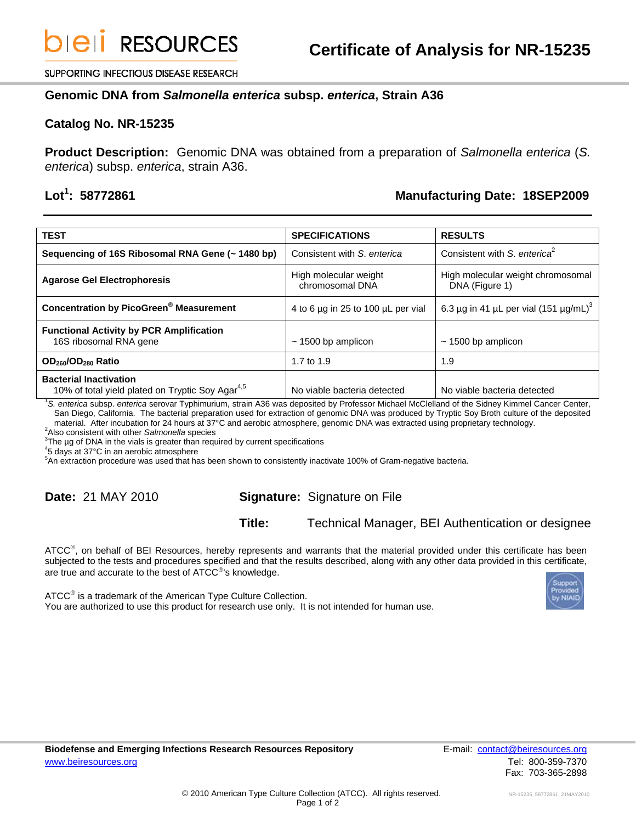SUPPORTING INFECTIOUS DISEASE RESEARCH

#### **Genomic DNA from** *Salmonella enterica* **subsp.** *enterica***, Strain A36**

#### **Catalog No. NR-15235**

**Product Description:** Genomic DNA was obtained from a preparation of *Salmonella enterica* (*S. enterica*) subsp. *enterica*, strain A36.

## Lot<sup>1</sup>: 58772861

## **: 58772861 Manufacturing Date: 18SEP2009**

| <b>TEST</b>                                                                                                                                   | <b>SPECIFICATIONS</b>                    | <b>RESULTS</b>                                      |
|-----------------------------------------------------------------------------------------------------------------------------------------------|------------------------------------------|-----------------------------------------------------|
| Sequencing of 16S Ribosomal RNA Gene (~ 1480 bp)                                                                                              | Consistent with S. enterica              | Consistent with S. enterica <sup>2</sup>            |
| <b>Agarose Gel Electrophoresis</b>                                                                                                            | High molecular weight<br>chromosomal DNA | High molecular weight chromosomal<br>DNA (Figure 1) |
| <b>Concentration by PicoGreen<sup>®</sup> Measurement</b>                                                                                     | 4 to 6 µg in 25 to 100 µL per vial       | 6.3 µg in 41 µL per vial (151 µg/mL) <sup>3</sup>   |
| <b>Functional Activity by PCR Amplification</b><br>16S ribosomal RNA gene                                                                     | $\sim$ 1500 bp amplicon                  | $\sim$ 1500 bp amplicon                             |
| OD <sub>260</sub> /OD <sub>280</sub> Ratio                                                                                                    | 1.7 to 1.9                               | 1.9                                                 |
| <b>Bacterial Inactivation</b><br>10% of total yield plated on Tryptic Soy Agar <sup>4,5</sup>                                                 | No viable bacteria detected              | No viable bacteria detected                         |
| S. enterica subsp. enterica serovar Typhimurium, strain A36 was deposited by Professor Michael McClelland of the Sidney Kimmel Cancer Center, |                                          |                                                     |

San Diego, California. The bacterial preparation used for extraction of genomic DNA was produced by Tryptic Soy Broth culture of the deposited material. After incubation for 24 hours at 37°C and aerobic atmosphere, genomic DNA was extracted using proprietary technology. 2

Also consistent with other *Salmonella* species 3

 $3$ The  $\mu$ g of DNA in the vials is greater than required by current specifications

 $45$  days at 37°C in an aerobic atmosphere

5 An extraction procedure was used that has been shown to consistently inactivate 100% of Gram-negative bacteria.

# **Date:** 21 MAY 2010 **Signature:** Signature on File

**Title:** Technical Manager, BEI Authentication or designee

ATCC<sup>®</sup>, on behalf of BEI Resources, hereby represents and warrants that the material provided under this certificate has been subjected to the tests and procedures specified and that the results described, along with any other data provided in this certificate, are true and accurate to the best of ATCC<sup>®</sup>'s knowledge.

ATCC<sup>®</sup> is a trademark of the American Type Culture Collection. You are authorized to use this product for research use only. It is not intended for human use.



Tel: 800-359-7370 Fax: 703-365-2898